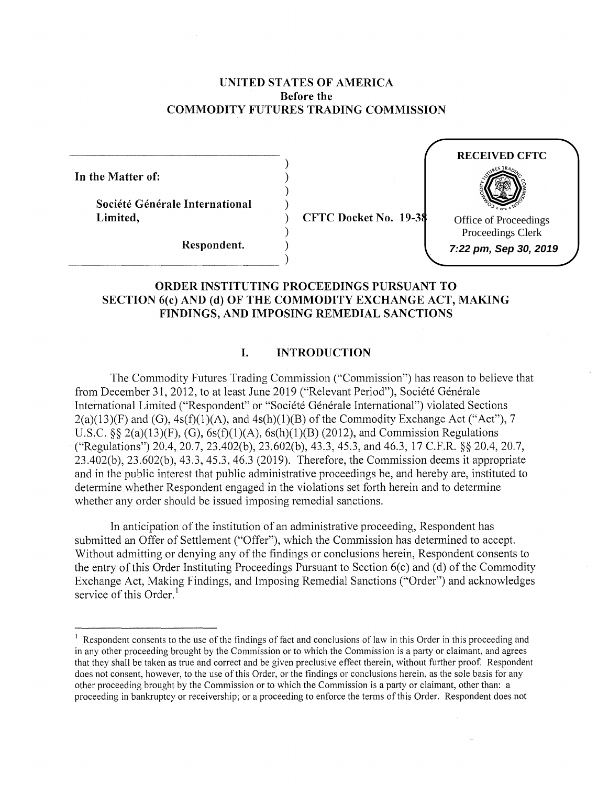### **UNITED STATES OF AMERICA Before the COMMODITY FUTURES TRADING COMMISSION**

) ) ) )

)

**In the Matter of:** 

**Societe Generate International Limited,** 

) **CFTC Docket No. 19-38** 



**Respondent.** )  $\begin{array}{c} \text{Respondent.} \\ \hline \end{array}$ 

# **ORDER INSTITUTING PROCEEDINGS PURSUANT TO SECTION 6(c) AND (d) OF THE COMMODITY EXCHANGE ACT, MAKING FINDINGS, AND IMPOSING REMEDIAL SANCTIONS**

### **I. INTRODUCTION**

The Commodity Futures Trading Commission ("Commission") has reason to believe that from December 31, 2012, to at least June 2019 ("Relevant Period"), Société Générale International Limited ("Respondent" or "Société Générale International") violated Sections  $2(a)(13)(F)$  and  $(G)$ ,  $4s(f)(1)(A)$ , and  $4s(h)(1)(B)$  of the Commodity Exchange Act ("Act"), 7 U.S.C. §§ 2(a)(13)(F), (G),  $6s(f)(1)(A)$ ,  $6s(h)(1)(B)$  (2012), and Commission Regulations ("Regulations") 20.4, 20.7, 23.402(b), 23.602(b), 43.3, 45.3, and 46.3, 17 C.F.R. §§ 20.4, 20.7, 23.402(b), 23.602(b), 43.3, 45.3, 46.3 (2019). Therefore, the Commission deems it appropriate and in the public interest that public administrative proceedings be, and hereby are, instituted to determine whether Respondent engaged in the violations set forth herein and to determine whether any order should be issued imposing remedial sanctions.

In anticipation of the institution of an administrative proceeding, Respondent has submitted an Offer of Settlement ("Offer"), which the Commission has determined to accept. Without admitting or denying any of the findings or conclusions herein, Respondent consents to the entry of this Order Instituting Proceedings Pursuant to Section 6(c) and (d) of the Commodity Exchange Act, Making Findings, and Imposing Remedial Sanctions ("Order") and acknowledges service of this Order. $<sup>1</sup>$ </sup>

 $<sup>1</sup>$  Respondent consents to the use of the findings of fact and conclusions of law in this Order in this proceeding and</sup> in any other proceeding brought by the Commission or to which the Commission is a party or claimant, and agrees that they shall be taken as true and correct and be given preclusive effect therein, without further proof. Respondent does not consent, however, to the use of this Order, or the findings or conclusions herein, as the sole basis for any other proceeding brought by the Commission or to which the Commission is a party or claimant, other than: a proceeding in bankruptcy or receivership; or a proceeding to enforce the terms of this Order. Respondent does not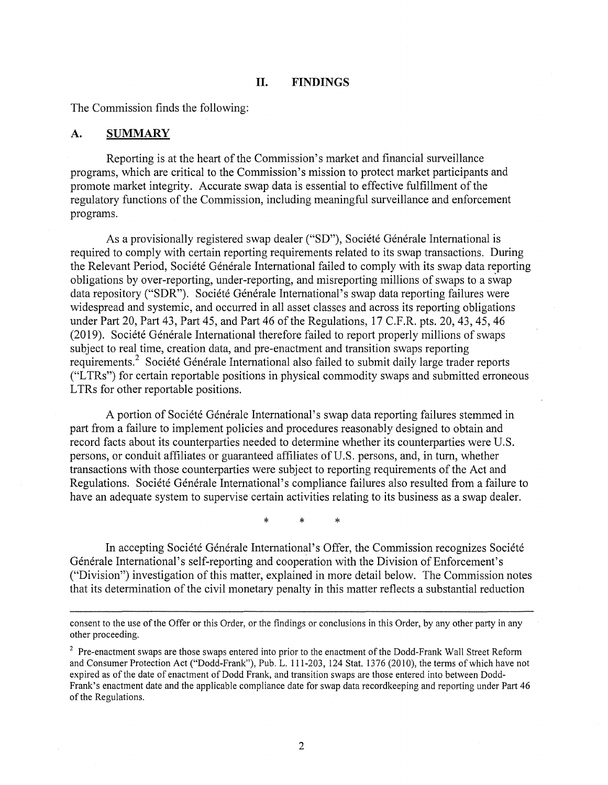#### **II. FINDINGS**

The Commission finds the following:

#### **A. SUMMARY**

Reporting is at the heart of the Commission's market and financial surveillance programs, which are critical to the Commission's mission to protect market participants and promote market integrity. Accurate swap data is essential to effective fulfillment of the regulatory functions of the Commission, including meaningful surveillance and enforcement programs.

As a provisionally registered swap dealer ("SD"), Société Générale International is required to comply with certain reporting requirements related to its swap transactions. During the Relevant Period, Société Générale International failed to comply with its swap data reporting obligations by over-reporting, under-reporting, and misreporting millions of swaps to a swap data repository ("SDR"). Société Générale International's swap data reporting failures were widespread and systemic, and occurred in all asset classes and across its reporting obligations under Part 20, Part 43, Part 45, and Part 46 of the Regulations, 17 C.F.R. pts. 20, 43, 45, 46 (2019). Société Générale International therefore failed to report properly millions of swaps subject to real time, creation data, and pre-enactment and transition swaps reporting requirements.<sup>2</sup> Société Générale International also failed to submit daily large trader reports ("L TRs") for certain reportable positions in physical commodity swaps and submitted erroneous LTRs for other reportable positions.

A portion of Societe Generale Intemational's swap data reporting failures stemmed in part from a failure to implement policies and procedures reasonably designed to obtain and record facts about its counterparties needed to determine whether its counterparties were U.S. persons, or conduit affiliates or guaranteed affiliates of U.S. persons, and, in tum, whether transactions with those counterparties were subject to reporting requirements of the Act and Regulations. Société Générale International's compliance failures also resulted from a failure to have an adequate system to supervise certain activities relating to its business as a swap dealer.

\* \* \*

In accepting Société Générale International's Offer, the Commission recognizes Société Générale International's self-reporting and cooperation with the Division of Enforcement's ("Division") investigation of this matter, explained in more detail below. The Commission notes that its determination of the civil monetary penalty in this matter reflects a substantial reduction

consent to the use of the Offer or this Order, or the findings or conclusions in this Order, by any other party in any other proceeding.

<sup>&</sup>lt;sup>2</sup> Pre-enactment swaps are those swaps entered into prior to the enactment of the Dodd-Frank Wall Street Reform and Consumer Protection Act ("Dodd-Frank"), Pub. L. 111-203, 124 Stat. 1376 (2010), the terms of which have not expired as of the date of enactment of Dodd Frank, and transition swaps are those entered into between Dodd-Frank's enactment date and the applicable compliance date for swap data recordkeeping and reporting under Part 46 of the Regulations.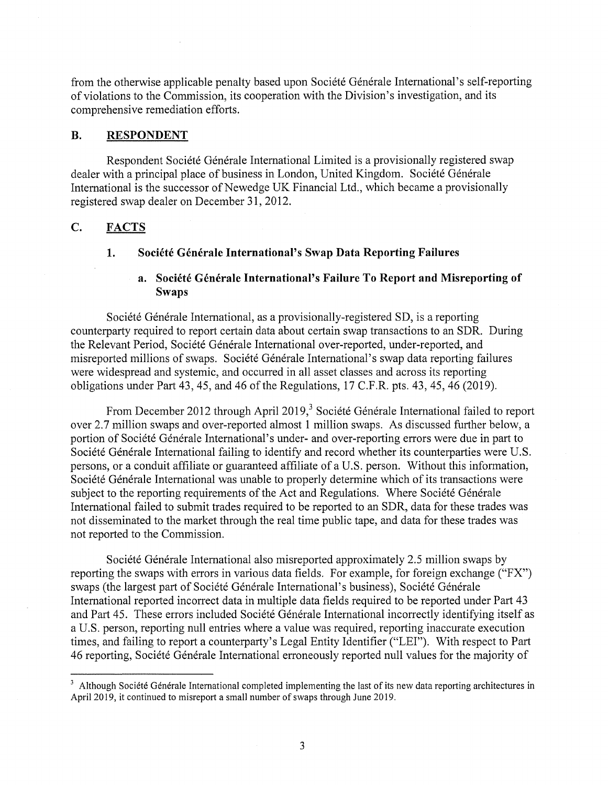from the otherwise applicable penalty based upon Société Générale International's self-reporting of violations to the Commission, its cooperation with the Division's investigation, and its comprehensive remediation efforts.

#### **B. RESPONDENT**

Respondent Société Générale International Limited is a provisionally registered swap dealer with a principal place of business in London, United Kingdom. Société Générale International is the successor of Newedge UK Financial Ltd., which became a provisionally registered swap dealer on December 31, 2012.

### **C. FACTS**

### 1. Société Générale International's Swap Data Reporting Failures

# **a. Societe Generate International's Failure To Report and Misreporting of Swaps**

Société Générale International, as a provisionally-registered SD, is a reporting counterparty required to report certain data about certain swap transactions to an SDR. During the Relevant Period, Société Générale International over-reported, under-reported, and misreported millions of swaps. Société Générale International's swap data reporting failures were widespread and systemic, and occurred in all asset classes and across its reporting obligations under Part 43, 45, and 46 of the Regulations, 17 C.F.R. pts. 43, 45, 46 (2019).

From December 2012 through April 2019,<sup>3</sup> Société Générale International failed to report over 2.7 million swaps and over-reported almost 1 million swaps. As discussed further below, a portion of Société Générale International's under- and over-reporting errors were due in part to Société Générale International failing to identify and record whether its counterparties were U.S. persons, or a conduit affiliate or guaranteed affiliate of a U.S. person. Without this information, Société Générale International was unable to properly determine which of its transactions were subject to the reporting requirements of the Act and Regulations. Where Societe Generale International failed to submit trades required to be reported to an SDR, data for these trades was not disseminated to the market through the real time public tape, and data for these trades was not reported to the Commission.

Société Générale International also misreported approximately 2.5 million swaps by reporting the swaps with errors in various data fields. For example, for foreign exchange ("FX") swaps (the largest part of Société Générale International's business), Société Générale International reported incorrect data in multiple data fields required to be reported under Part 43 and Part 45. These errors included Société Générale International incorrectly identifying itself as a U.S. person, reporting null entries where a value was required, reporting inaccurate execution times, and failing to report a counterparty's Legal Entity Identifier ("LEI"). With respect to Part 46 reporting, Société Générale International erroneously reported null values for the majority of

<sup>&</sup>lt;sup>3</sup> Although Société Générale International completed implementing the last of its new data reporting architectures in April 2019, it continued to misreport a small number of swaps through June 2019.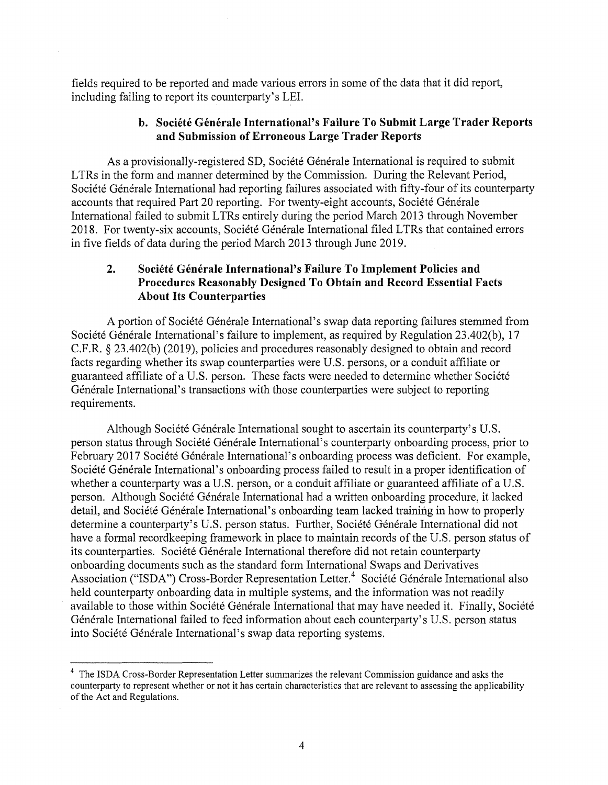fields required to be reported and made various errors in some of the data that it did report, including failing to report its counterparty's LEI.

# **b. Societe Generale International's Failure To Submit Large Trader Reports and Submission of Erroneous Large Trader Reports**

As a provisionally-registered SD, Société Générale International is required to submit LTRs in the form and manner determined by the Commission. During the Relevant Period, Société Générale International had reporting failures associated with fifty-four of its counterparty accounts that required Part 20 reporting. For twenty-eight accounts, Société Générale International failed to submit LTRs entirely during the period March 2013 through November 2018. For twenty-six accounts, Société Générale International filed LTRs that contained errors in five fields of data during the period March 2013 through June 2019.

# 2. Société Générale International's Failure To Implement Policies and **Procedures Reasonably Designed To Obtain and Record Essential Facts About Its Counterparties**

A portion of Societe Generale International's swap data reporting failures stemmed from Société Générale International's failure to implement, as required by Regulation 23.402(b), 17 C.F.R. § 23.402(b) (2019), policies and procedures reasonably designed to obtain and record facts regarding whether its swap counterparties were U.S. persons, or a conduit affiliate or guaranteed affiliate of a U.S. person. These facts were needed to determine whether Societe Générale International's transactions with those counterparties were subject to reporting requirements.

Although Société Générale International sought to ascertain its counterparty's U.S. person status through Société Générale International's counterparty onboarding process, prior to February 2017 Société Générale International's onboarding process was deficient. For example, Société Générale International's onboarding process failed to result in a proper identification of whether a counterparty was a U.S. person, or a conduit affiliate or guaranteed affiliate of a U.S. person. Although Société Générale International had a written onboarding procedure, it lacked detail, and Société Générale International's onboarding team lacked training in how to properly determine a counterparty's U.S. person status. Further, Société Générale International did not have a formal recordkeeping framework in place to maintain records of the U.S. person status of its counterparties. Société Générale International therefore did not retain counterparty onboarding documents such as the standard form International Swaps and Derivatives Association ("ISDA") Cross-Border Representation Letter.<sup>4</sup> Société Générale International also held counterparty onboarding data in multiple systems, and the information was not readily available to those within Société Générale International that may have needed it. Finally, Société Générale International failed to feed information about each counterparty's U.S. person status into Société Générale International's swap data reporting systems.

<sup>&</sup>lt;sup>4</sup> The ISDA Cross-Border Representation Letter summarizes the relevant Commission guidance and asks the counterparty to represent whether or not it has certain characteristics that are relevant to assessing the applicability of the Act and Regulations.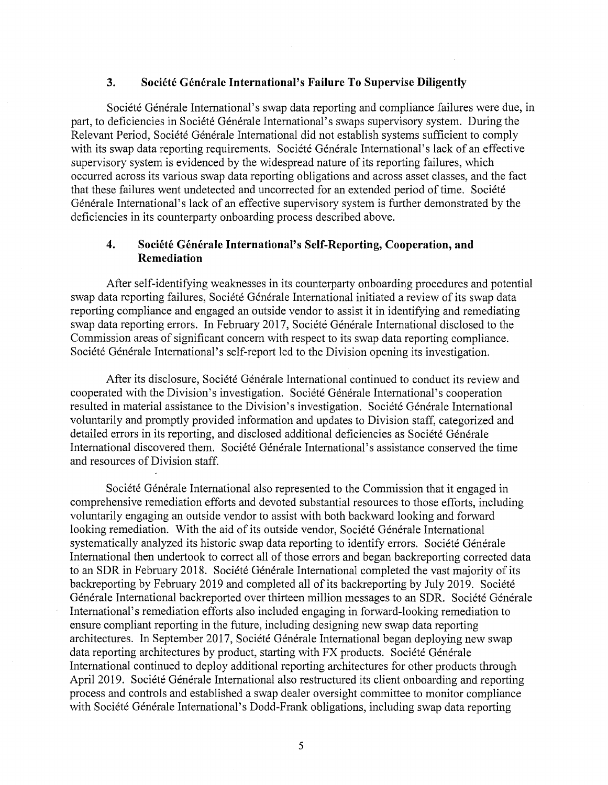### **3. Societe Generale International's Failure To Supervise Diligently**

Société Générale International's swap data reporting and compliance failures were due, in part, to deficiencies in Société Générale International's swaps supervisory system. During the Relevant Period, Société Générale International did not establish systems sufficient to comply with its swap data reporting requirements. Société Générale International's lack of an effective supervisory system is evidenced by the widespread nature of its reporting failures, which occurred across its various swap data reporting obligations and across asset classes, and the fact that these failures went undetected and uncorrected for an extended period of time. Société Générale International's lack of an effective supervisory system is further demonstrated by the deficiencies in its counterparty onboarding process described above.

### **4. Societe Generale International's Self-Reporting, Cooperation, and Remediation**

After self-identifying weaknesses in its counterparty onboarding procedures and potential swap data reporting failures, Société Générale International initiated a review of its swap data reporting compliance and engaged an outside vendor to assist it in identifying and remediating swap data reporting errors. In February 2017, Société Générale International disclosed to the Commission areas of significant concern with respect to its swap data reporting compliance. Société Générale International's self-report led to the Division opening its investigation.

After its disclosure, Société Générale International continued to conduct its review and cooperated with the Division's investigation. Société Générale International's cooperation resulted in material assistance to the Division's investigation. Société Générale International voluntarily and promptly provided information and updates to Division staff, categorized and detailed errors in its reporting, and disclosed additional deficiencies as Société Générale International discovered them. Société Générale International's assistance conserved the time and resources of Division staff.

Société Générale International also represented to the Commission that it engaged in comprehensive remediation efforts and devoted substantial resources to those efforts, including voluntarily engaging an outside vendor to assist with both backward looking and forward looking remediation. With the aid of its outside vendor, Société Générale International systematically analyzed its historic swap data reporting to identify errors. Société Générale International then undertook to correct all of those errors and began backreporting corrected data to an SDR in February 2018. Société Générale International completed the vast majority of its backreporting by February 2019 and completed all of its backreporting by July 2019. Société Générale International backreported over thirteen million messages to an SDR. Société Générale International's remediation efforts also included engaging in forward-looking remediation to ensure compliant reporting in the future, including designing new swap data reporting architectures. In September 2017, Societe Generale International began deploying new swap data reporting architectures by product, starting with FX products. Société Générale International continued to deploy additional reporting architectures for other products through April 2019. Société Générale International also restructured its client onboarding and reporting process and controls and established a swap dealer oversight committee to monitor compliance with Société Générale International's Dodd-Frank obligations, including swap data reporting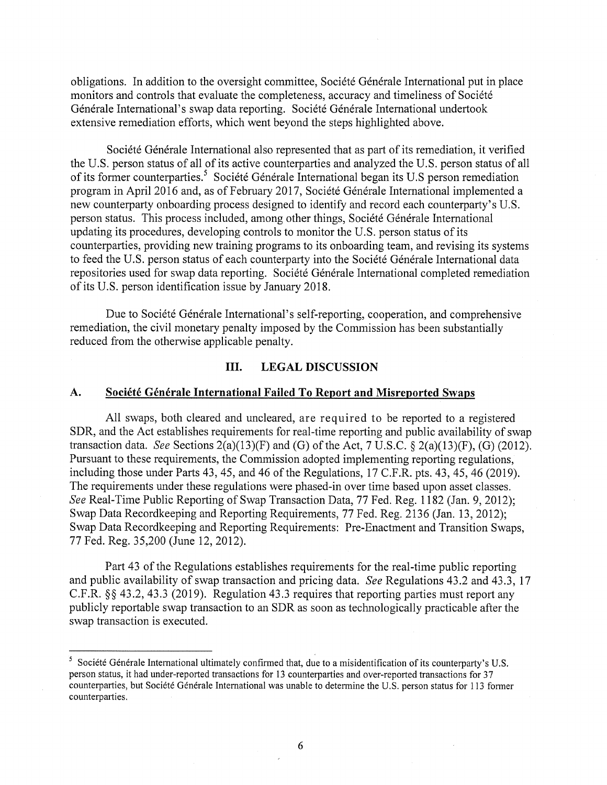obligations. In addition to the oversight committee, Société Générale International put in place monitors and controls that evaluate the completeness, accuracy and timeliness of Société Générale International's swap data reporting. Société Générale International undertook extensive remediation efforts, which went beyond the steps highlighted above.

Société Générale International also represented that as part of its remediation, it verified the U.S. person status of all of its active counterparties and analyzed the U.S. person status of all of its former counterparties. 5 Societe Generale International began its U.S person remediation program in April 2016 and, as of February 2017, Société Générale International implemented a new counterparty on boarding process designed to identify and record each counterparty's U.S. person status. This process included, among other things, Societe Generale International updating its procedures, developing controls to monitor the U.S. person status of its counterparties, providing new training programs to its onboarding team, and revising its systems to feed the U.S. person status of each counterparty into the Société Générale International data repositories used for swap data reporting. Société Générale International completed remediation of its U.S. person identification issue by January 2018.

Due to Société Générale International's self-reporting, cooperation, and comprehensive remediation, the civil monetary penalty imposed by the Commission has been substantially reduced from the otherwise applicable penalty.

#### **III. LEGAL DISCUSSION**

### A. Société Générale International Failed To Report and Misreported Swaps

All swaps, both cleared and uncleared, are required to be reported to a registered SDR, and the Act establishes requirements for real-time reporting and public availability of swap transaction data. *See* Sections 2(a)(13)(F) and (G) of the Act, 7 U.S.C. § 2(a)(l3)(F), (G) (2012). Pursuant to these requirements, the Commission adopted implementing reporting regulations, including those under Parts 43, 45, and 46 of the Regulations, 17 C.F.R. pts. 43, 45, 46 (2019). The requirements under these regulations were phased-in over time based upon asset classes. *See* Real-Time Public Reporting of Swap Transaction Data, 77 Fed. Reg. 1182 (Jan. 9, 2012); Swap Data Recordkeeping and Reporting Requirements, 77 Fed. Reg. 2136 (Jan. 13, 2012); Swap Data Recordkeeping and Reporting Requirements: Pre-Enactment and Transition Swaps, 77 Fed. Reg. 35,200 (June 12, 2012).

Part 43 of the Regulations establishes requirements for the real-time public reporting and public availability of swap transaction and pricing data. *See* Regulations 43.2 and 43.3, 17 C.F.R. §§ 43.2, 43.3 (2019). Regulation 43.3 requires that reporting parties must report any publicly reportable swap transaction to an SDR as soon as technologically practicable after the swap transaction is executed.

<sup>&</sup>lt;sup>5</sup> Société Générale International ultimately confirmed that, due to a misidentification of its counterparty's U.S. person status, it had under-reported transactions for 13 counterparties and over-reported transactions for 37 counterparties, but Société Générale International was unable to determine the U.S. person status for 113 former counterparties.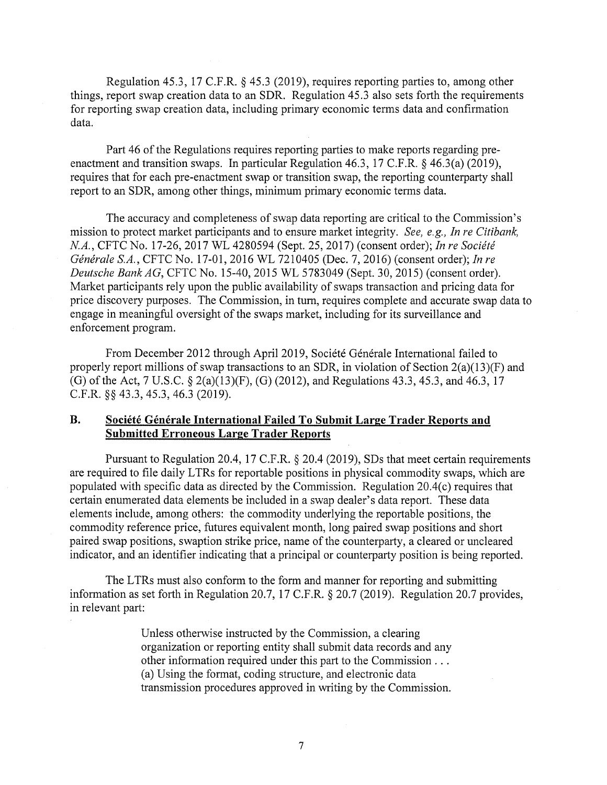Regulation 45.3, 17 C.F.R. § 45.3 (2019), requires reporting parties to, among other things, report swap creation data to an SDR. Regulation 45.3 also sets forth the requirements for reporting swap creation data, including primary economic terms data and confirmation data.

Part 46 of the Regulations requires reporting parties to make reports regarding preenactment and transition swaps. In particular Regulation 46.3, 17 C.F.R. § 46.3(a) (2019), requires that for each pre-enactment swap or transition swap, the reporting counterparty shall report to an SDR, among other things, minimum primary economic terms data.

The accuracy and completeness of swap data reporting are critical to the Commission's mission to protect market participants and to ensure market integrity. *See, e.g., In re Citibank, NA.,* CFTC No. 17-26, 2017 WL 4280594 (Sept. 25, 2017) (consent order); *In re Societe Generate S.A.,* CFTC No. 17-01, 2016 WL 7210405 (Dec. 7, 2016) (consent order); *In re Deutsche Bank AG,* CFTC No. 15-40, 2015 WL 5783049 (Sept. 30, 2015) (consent order). Market participants rely upon the public availability of swaps transaction and pricing data for price discovery purposes. The Commission, in tum, requires complete and accurate swap data to engage in meaningful oversight of the swaps market, including for its surveillance and enforcement program.

From December 2012 through April 2019, Société Générale International failed to properly report millions of swap transactions to an SDR, in violation of Section 2(a)(13)(F) and (G) of the Act, 7 U.S.C. § 2(a)(l3)(F), (G) (2012), and Regulations 43.3, 45.3, and 46.3, 17 C.F.R. §§ 43.3, 45.3, 46.3 (2019).

### **B.** Société Générale International Failed To Submit Large Trader Reports and **Submitted Erroneous Large Trader Reports**

Pursuant to Regulation 20.4, 17 C.F.R. § 20.4 (2019), SDs that meet certain requirements are required to file daily LTRs for reportable positions in physical commodity swaps, which are populated with specific data as directed by the Commission. Regulation  $20.4(c)$  requires that certain enumerated data elements be included in a swap dealer's data report. These data elements include, among others: the commodity underlying the reportable positions, the commodity reference price, futures equivalent month, long paired swap positions and short paired swap positions, swaption strike price, name of the counterparty, a cleared or uncleared indicator, and an identifier indicating that a principal or counterparty position is being reported.

The LTRs must also conform to the form and manner for reporting and submitting information as set forth in Regulation 20.7, 17 C.F.R. § 20.7 (2019). Regulation 20.7 provides, in relevant part:

> Unless otherwise instructed by the Commission, a clearing organization or reporting entity shall submit data records and any other information required under this part to the Commission ... (a) Using the format, coding structure, and electronic data transmission procedures approved in writing by the Commission.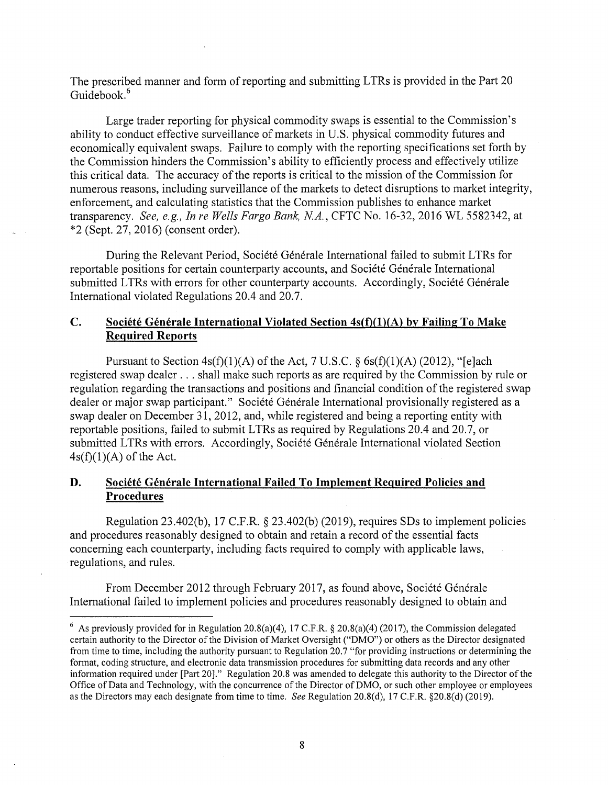The prescribed manner and form of reporting and submitting LTRs is provided in the Part 20 Guidebook.<sup>6</sup>

Large trader reporting for physical commodity swaps is essential to the Commission's ability to conduct effective surveillance of markets in U.S. physical commodity futures and economically equivalent swaps. Failure to comply with the reporting specifications set forth by the Commission hinders the Commission's ability to efficiently process and effectively utilize this critical data. The accuracy of the reports is critical to the mission of the Commission for numerous reasons, including surveillance of the markets to detect disruptions to market integrity, enforcement, and calculating statistics that the Commission publishes to enhance market transparency. *See, e.g., In re Wells Fargo Bank, NA.,* CFTC No. 16-32, 2016 WL 5582342, at \*2 (Sept. 27, 2016) (consent order).

During the Relevant Period, Société Générale International failed to submit LTRs for reportable positions for certain counterparty accounts, and Société Générale International submitted LTRs with errors for other counterparty accounts. Accordingly, Société Générale International violated Regulations 20.4 and 20.7.

# **C.** Société Générale International Violated Section 4s(f)(1)(A) by Failing To Make **Required Reports**

Pursuant to Section  $4s(f)(1)(A)$  of the Act, 7 U.S.C. § 6s(f)(1)(A) (2012), "[e]ach registered swap dealer ... shall make such reports as are required by the Commission by rule or regulation regarding the transactions and positions and financial condition of the registered swap dealer or major swap participant." Société Générale International provisionally registered as a swap dealer on December 31, 2012, and, while registered and being a reporting entity with reportable positions, failed to submit LTRs as required by Regulations 20.4 and 20.7, or submitted LTRs with errors. Accordingly, Société Générale International violated Section  $4s(f)(1)(A)$  of the Act.

### **D.** Société Générale International Failed To Implement Required Policies and **Procedures**

Regulation 23.402(b), 17 C.F.R.  $\S$  23.402(b) (2019), requires SDs to implement policies and procedures reasonably designed to obtain and retain a record of the essential facts concerning each counterparty, including facts required to comply with applicable laws, regulations, and rules.

From December 2012 through February 2017, as found above, Société Générale International failed to implement policies and procedures reasonably designed to obtain and

<sup>&</sup>lt;sup>6</sup> As previously provided for in Regulation 20.8(a)(4), 17 C.F.R. § 20.8(a)(4) (2017), the Commission delegated certain authority to the Director of the Division of Market Oversight ("DMO") or others as the Director designated from time to time, including the authority pursuant to Regulation 20.7 "for providing instructions or determining the fonnat, coding structure, and electronic data transmission procedures for submitting data records and any other information required under [Part 20]." Regulation 20.8 was amended to delegate this authority to the Director of the Office of Data and Technology, with the concurrence of the Director ofDMO, or such other employee or employees as the Directors may each designate from time to time. *See* Regulation 20.S(d), 17 C.F.R. §20.S(d) (2019).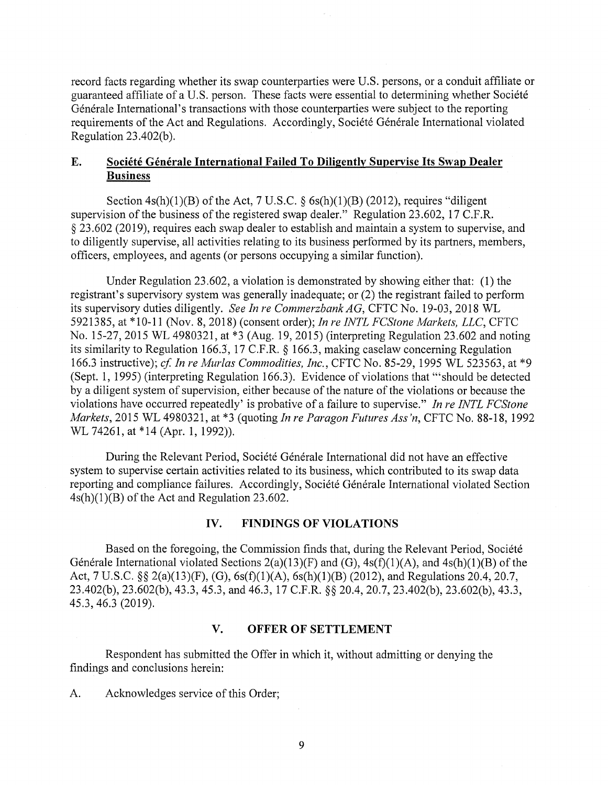record facts regarding whether its swap counterparties were U.S. persons, or a conduit affiliate or guaranteed affiliate of a U.S. person. These facts were essential to determining whether Societe Générale International's transactions with those counterparties were subject to the reporting requirements of the Act and Regulations. Accordingly, Société Générale International violated Regulation  $23.402(b)$ .

### **E.** Société Générale International Failed To Diligently Supervise Its Swap Dealer **Business**

Section  $4s(h)(1)(B)$  of the Act, 7 U.S.C. § 6s(h)(1)(B) (2012), requires "diligent supervision of the business of the registered swap dealer." Regulation 23.602, 17 C.F.R. § 23.602 (2019), requires each swap dealer to establish and maintain a system to supervise, and to diligently supervise, all activities relating to its business performed by its partners, members, officers, employees, and agents ( or persons occupying a similar function).

Under Regulation 23.602, a violation is demonstrated by showing either that: (1) the registrant's supervisory system was generally inadequate; or (2) the registrant failed to perform its supervisory duties diligently. *See In re Commerzbank AG,* CFTC No. 19-03, 2018 WL 5921385, at \*10-11 (Nov. 8, 2018) (consent order); *In re INTL FCStone Markets, LLC,* CFTC No. 15-27, 2015 WL 4980321, at \*3 (Aug. 19, 2015) (interpreting Regulation 23.602 and noting its similarity to Regulation 166.3, 17 C.F.R. § 166.3, making caselaw concerning Regulation 166.3 instructive); *cf In re Murlas Commodities, Inc.,* CFTC No. 85-29, 1995 WL 523563, at \*9 (Sept. 1, 1995) (interpreting Regulation 166.3). Evidence of violations that '"should be detected by a diligent system of supervision, either because of the nature of the violations or because the violations have occurred repeatedly' is probative of a failure to supervise." *In re INTL FCStone Markets,* 2015 WL 4980321, at \*3 (quoting *In re Paragon Futures Ass'n,* CFTC No. 88-18, 1992 WL 74261, at \*14 (Apr. 1, 1992)).

During the Relevant Period, Société Générale International did not have an effective system to supervise certain activities related to its business, which contributed to its swap data reporting and compliance failures. Accordingly, Société Générale International violated Section 4s(h)(l)(B) of the Act and Regulation 23.602.

### **IV. FINDINGS OF VIOLATIONS**

Based on the foregoing, the Commission finds that, during the Relevant Period, Societe Générale International violated Sections  $2(a)(13)(F)$  and  $(G)$ ,  $4s(f)(1)(A)$ , and  $4s(h)(1)(B)$  of the Act, 7 U.S.C. §§ 2(a)(13)(F), (G), 6s(f)(1)(A), 6s(h)(1)(B) (2012), and Regulations 20.4, 20.7, 23.402(b), 23.602(b), 43.3, 45.3, and 46.3, 17 C.F.R. §§ 20.4, 20.7, 23.402(b), 23.602(b), 43.3, 45.3, 46.3 (2019).

### **V. OFFER OF SETTLEMENT**

Respondent has submitted the Offer in which it, without admitting or denying the findings and conclusions herein:

A. Acknowledges service of this Order;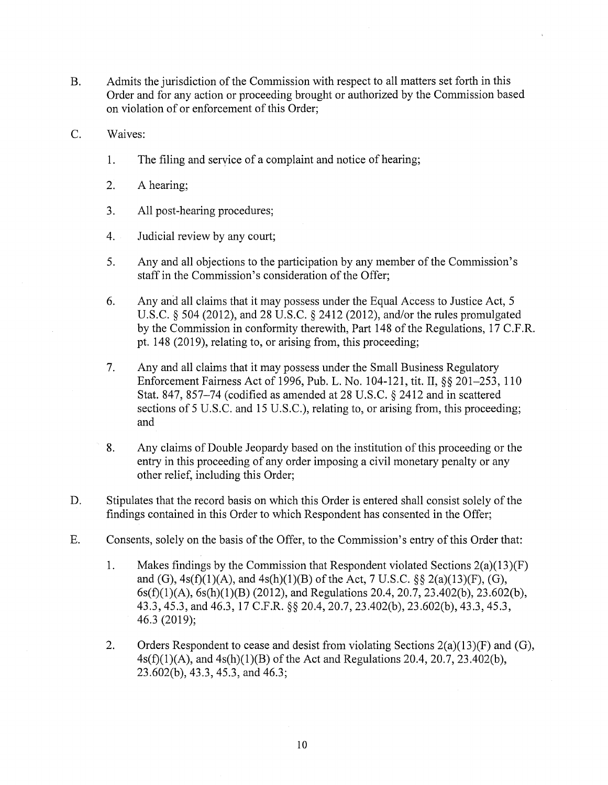- B. Admits the jurisdiction of the Commission with respect to all matters set forth in this Order and for any action or proceeding brought or authorized by the Commission based on violation of or enforcement of this Order;
- C. Waives:
	- 1. The filing and service of a complaint and notice of hearing;
	- 2. A hearing;
	- 3. All post-hearing procedures;
	- 4. Judicial review by any court;
	- 5. Any and all objections to the participation by any member of the Commission's staff in the Commission's consideration of the Offer;
	- 6. Any and all claims that it may possess under the Equal Access to Justice Act, 5 U.S.C. § 504 (2012), and 28 U.S.C. § 2412 (2012), and/or the rules promulgated by the Commission in conformity therewith, Part 148 of the Regulations, 17 C.F .R. pt. 148 (2019), relating to, or arising from, this proceeding;
	- 7. Any and all claims that it may possess under the Small Business Regulatory Enforcement Fairness Act of 1996, Pub. L. No. 104-121, tit. II,§§ 201-253, 110 Stat. 847, 857-74 (codified as amended at 28 U.S.C. § 2412 and in scattered sections of 5 U.S.C. and 15 U.S.C.), relating to, or arising from, this proceeding; and
	- 8. Any claims of Double Jeopardy based on the institution of this proceeding or the entry in this proceeding of any order imposing a civil monetary penalty or any other relief, including this Order;
- D. Stipulates that the record basis on which this Order is entered shall consist solely of the findings contained in this Order to which Respondent has consented in the Offer;
- E. Consents, solely on the basis of the Offer, to the Commission's entry of this Order that:
	- 1. Makes findings by the Commission that Respondent violated Sections 2(a)(13)(F) and (G),  $4s(f)(1)(A)$ , and  $4s(h)(1)(B)$  of the Act, 7 U.S.C. §§ 2(a)(13)(F), (G), 6s(f)(l)(A), 6s(h)(l)(B) (2012), and Regulations 20.4, 20.7, 23.402(b), 23.602(b), 43.3, 45.3, and 46.3, 17 C.F.R. §§ 20.4, 20.7, 23.402(b), 23.602(b), 43.3, 45.3, 46.3 (2019);
	- 2. Orders Respondent to cease and desist from violating Sections  $2(a)(13)(F)$  and  $(G)$ ,  $4s(f)(1)(A)$ , and  $4s(h)(1)(B)$  of the Act and Regulations 20.4, 20.7, 23.402(b), 23.602(b), 43.3, 45.3, and 46.3;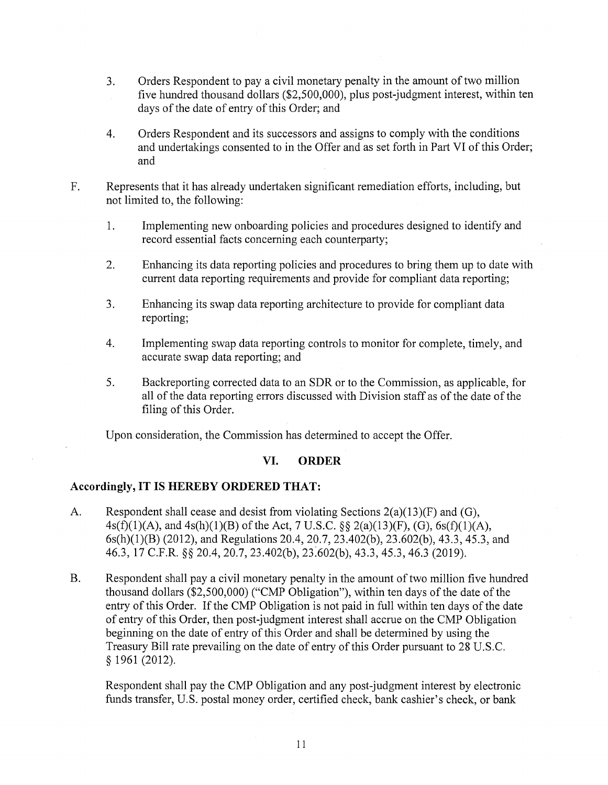- 3. Orders Respondent to pay a civil monetary penalty in the amount of two million five hundred thousand dollars (\$2,500,000), plus post-judgment interest, within ten days of the date of entry of this Order; and
- 4. Orders Respondent and its successors and assigns to comply with the conditions and undertakings consented to in the Offer and as set forth in Part VI of this Order; and
- F. Represents that it has already undertaken significant remediation efforts, including, but not limited to, the following:
	- 1. Implementing new onboarding policies and procedures designed to identify and record essential facts concerning each counterparty;
	- 2. Enhancing its data reporting policies and procedures to bring them up to date with current data reporting requirements and provide for compliant data reporting;
	- 3. Enhancing its swap data reporting architecture to provide for compliant data reporting;
	- 4. Implementing swap data reporting controls to monitor for complete, timely, and accurate swap data reporting; and
	- 5. Backreporting corrected data to an SDR or to the Commission, as applicable, for all of the data reporting errors discussed with Division staff as of the date of the filing of this Order.

Upon consideration, the Commission has determined to accept the Offer.

### **VI. ORDER**

### **Accordingly, IT IS HEREBY ORDERED THAT:**

- A. Respondent shall cease and desist from violating Sections 2(a)(13)(F) and (G), 4s(f)(1)(A), and 4s(h)(1)(B) of the Act, 7 U.S.C.  $\S$  2(a)(13)(F), (G), 6s(f)(1)(A), 6s(h)(l)(B) (2012), and Regulations 20.4, 20.7, 23.402(b), 23.602(b), 43.3, 45.3, and 46.3, 17 C.F.R. §§ 20.4, 20.7, 23.402(b), 2J:602(b), 43.3, 45.3, 46.3 (2019).
- B. Respondent shall pay a civil monetary penalty in the amount of two million five hundred thousand dollars (\$2,500,000) ("CMP Obligation"), within ten days of the date of the entry of this Order. If the CMP Obligation is not paid in full within ten days of the date of entry of this Order, then post-judgment interest shall accrue on the CMP Obligation beginning on the date of entry of this Order and shall be determined by using the Treasury Bill rate prevailing on the date of entry of this Order pursuant to 28 U.S.C. § 1961 (2012).

Respondent shall pay the CMP Obligation and any post-judgment interest by electronic funds transfer, U.S. postal money order, certified check, bank cashier's check, or bank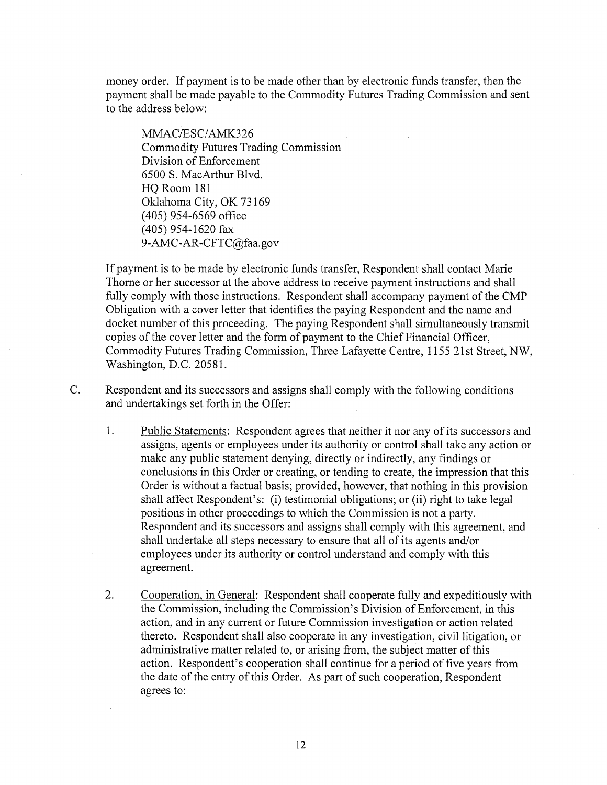money order. If payment is to be made other than by electronic funds transfer, then the payment shall be made payable to the Commodity Futures Trading Commission and sent to the address below:

MMAC/ESC/AMK326 Commodity Futures Trading Commission Division of Enforcement 6500 S. MacArthur Blvd. HQ Room 181 Oklahoma City, OK 73169 ( 405) 954-6569 office (405) 954-1620 fax 9-AMC-AR-CFTC@faa.gov

If payment is to be made by electronic funds transfer, Respondent shall contact Marie Thorne or her successor at the above address to receive payment instructions and shall fully comply with those instructions. Respondent shall accompany payment of the CMP Obligation with a cover letter that identifies the paying Respondent and the name and docket number of this proceeding. The paying Respondent shall simultaneously transmit copies of the cover letter and the form of payment to the Chief Financial Officer, Commodity Futures Trading Commission, Three Lafayette Centre, 1155 21st Street, NW, Washington, D.C. 20581.

C. Respondent and its successors and assigns shall comply with the following conditions and undertakings set forth in the Offer:

- 1. Public Statements: Respondent agrees that neither it nor any of its successors and assigns, agents or employees under its authority or control shall take any action or make any public statement denying, directly or indirectly, any findings or conclusions in this Order or creating, or tending to create, the impression that this Order is without a factual basis; provided, however, that nothing in this provision shall affect Respondent's: (i) testimonial obligations; or (ii) right to take legal positions in other proceedings to which the Commission is not a party. Respondent and its successors and assigns shall comply with this agreement, and shall undertake all steps necessary to ensure that all of its agents and/or employees under its authority or control understand and comply with this agreement.
- 2. Cooperation, in General: Respondent shall cooperate fully and expeditiously with the Commission, including the Commission's Division of Enforcement, in this action, and in any current or future Commission investigation or action related thereto. Respondent shall also cooperate in any investigation, civil litigation, or administrative matter related to, or arising from, the subject matter of this action. Respondent's cooperation shall continue for a period of five years from the date of the entry of this Order. As part of such cooperation, Respondent agrees to: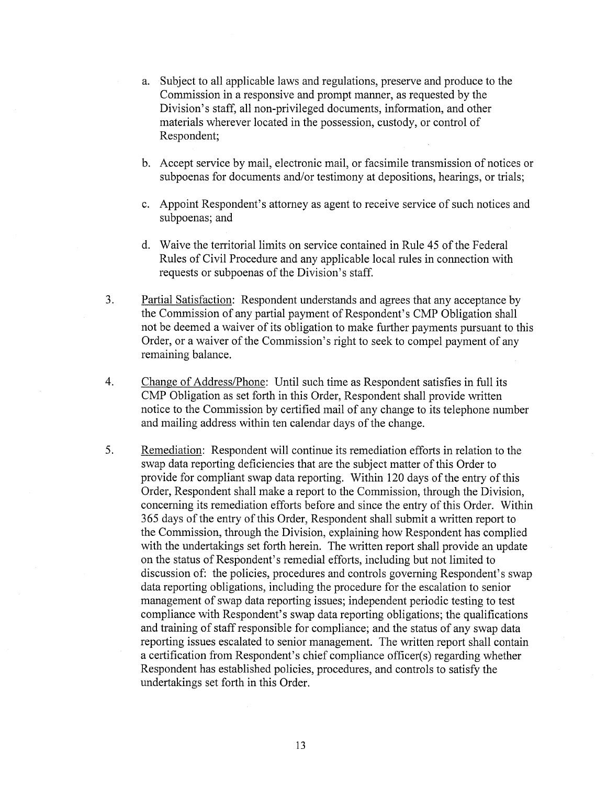- a. Subject to all applicable laws and regulations, preserve and produce to the Commission in a responsive and prompt manner, as requested by the Division's staff, all non-privileged documents, information, and other materials wherever located in the possession, custody, or control of Respondent;
- b. Accept service by mail, electronic mail, or facsimile transmission of notices or subpoenas for documents and/or testimony at depositions, hearings, or trials;
- c. Appoint Respondent's attorney as agent to receive service of such notices and subpoenas; and
- d. Waive the territorial limits on service contained in Rule 45 of the Federal Rules of Civil Procedure and any applicable local rules in connection with requests or subpoenas of the Division's staff.
- 3. Partial Satisfaction: Respondent understands and agrees that any acceptance by the Commission of any partial payment of Respondent's CMP Obligation shall not be deemed a waiver of its obligation to make further payments pursuant to this Order, or a waiver of the Commission's right to seek to compel payment of any remaining balance.
- 4. Change of Address/Phone: Until such time as Respondent satisfies in full its CMP Obligation as set forth in this Order, Respondent shall provide written notice to the Commission by certified mail of any change to its telephone number and mailing address within ten calendar days of the change.
- 5. Remediation: Respondent will continue its remediation efforts in relation to the swap data reporting deficiencies that are the subject matter of this Order to provide for compliant swap data reporting. Within 120 days of the entry of this Order, Respondent shall make a report to the Commission, through the Division, concerning its remediation efforts before and since the entry of this Order. Within 365 days of the entry of this Order, Respondent shall submit a written report to the Commission, through the Division, explaining how Respondent has complied with the undertakings set forth herein. The written report shall provide an update on the status of Respondent's remedial efforts, including but not limited to discussion of: the policies, procedures and controls governing Respondent's swap data reporting obligations, including the procedure for the escalation to senior management of swap data reporting issues; independent periodic testing to test compliance with Respondent's swap data reporting obligations; the qualifications and training of staff responsible for compliance; and the status of any swap data reporting issues escalated to senior management. The written report shall contain a certification from Respondent's chief compliance officer(s) regarding whether Respondent has established policies, procedures, and controls to satisfy the undertakings set forth in this Order.